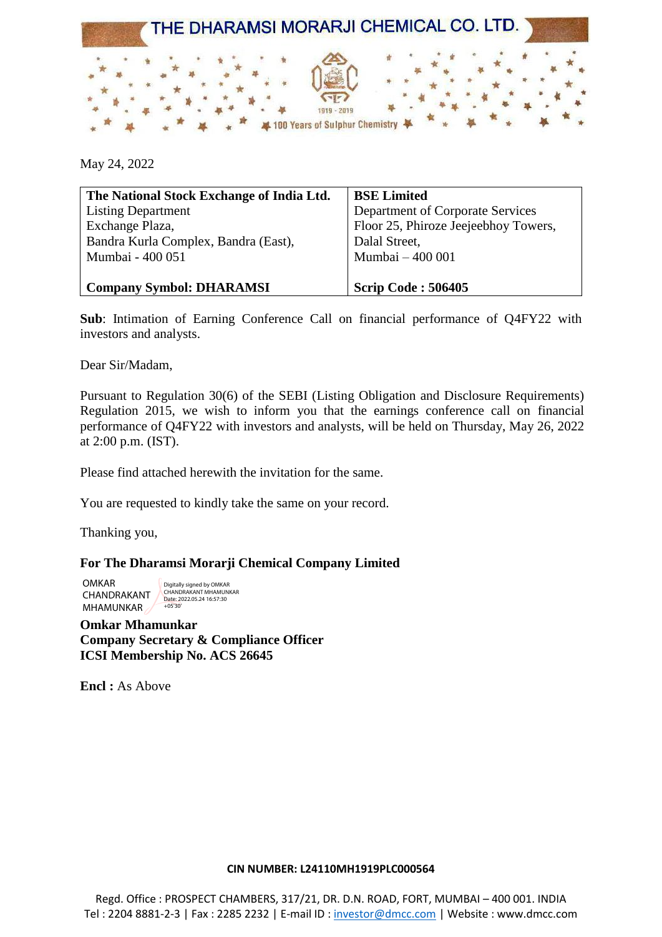

May 24, 2022

| The National Stock Exchange of India Ltd. | <b>BSE Limited</b>                   |
|-------------------------------------------|--------------------------------------|
| <b>Listing Department</b>                 | Department of Corporate Services     |
| Exchange Plaza,                           | Floor 25, Phiroze Jeejeebhoy Towers, |
| Bandra Kurla Complex, Bandra (East),      | Dalal Street,                        |
| Mumbai - 400 051                          | Mumbai - 400 001                     |
|                                           |                                      |
| <b>Company Symbol: DHARAMSI</b>           | <b>Scrip Code: 506405</b>            |

**Sub**: Intimation of Earning Conference Call on financial performance of Q4FY22 with investors and analysts.

Dear Sir/Madam,

Pursuant to Regulation 30(6) of the SEBI (Listing Obligation and Disclosure Requirements) Regulation 2015, we wish to inform you that the earnings conference call on financial performance of Q4FY22 with investors and analysts, will be held on Thursday, May 26, 2022 at 2:00 p.m. (IST).

Please find attached herewith the invitation for the same.

You are requested to kindly take the same on your record.

Thanking you,

### **For The Dharamsi Morarji Chemical Company Limited**

OMKAR CHANDRAKANT **MHAMUNKAR** Digitally signed by OMKAR CHANDRAKANT MHAMUNKAR Date: 2022.05.24 16:57:30 +05'30'

**Omkar Mhamunkar Company Secretary & Compliance Officer ICSI Membership No. ACS 26645**

**Encl :** As Above

#### **CIN NUMBER: L24110MH1919PLC000564**